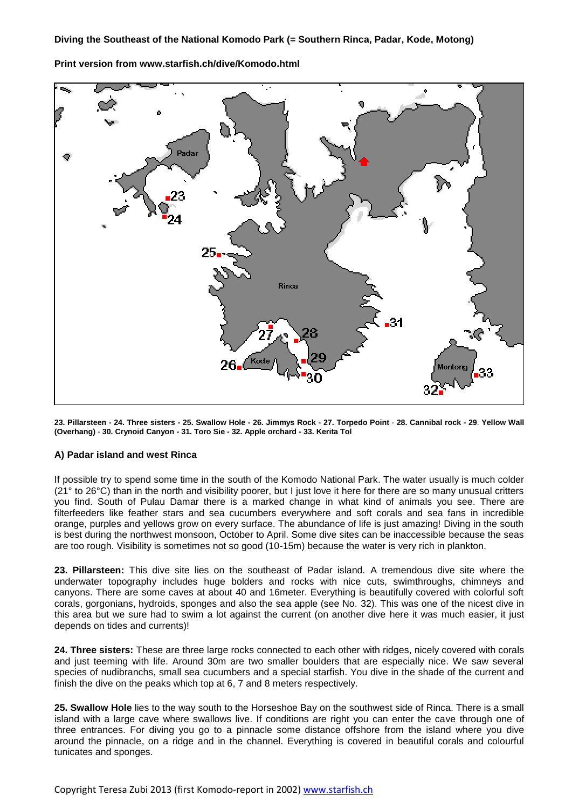Padar 2 Rinca Kode 32

**Print version from www.starfish.ch/dive/Komodo.html**

**23. Pillarsteen - 24. Three sisters - 25. Swallow Hole - 26. Jimmys Rock - 27. Torpedo Point** - **28. Cannibal rock - 29**. **Yellow Wall (Overhang)** - **30. Crynoid Canyon - 31. Toro Sie - 32. Apple orchard - 33. Kerita Tol** 

## **A) Padar island and west Rinca**

If possible try to spend some time in the south of the Komodo National Park. The water usually is much colder (21° to 26°C) than in the north and visibility poorer, but I just love it here for there are so many unusual critters you find. South of Pulau Damar there is a marked change in what kind of animals you see. There are filterfeeders like feather stars and sea cucumbers everywhere and soft corals and sea fans in incredible orange, purples and yellows grow on every surface. The abundance of life is just amazing! Diving in the south is best during the northwest monsoon, October to April. Some dive sites can be inaccessible because the seas are too rough. Visibility is sometimes not so good (10-15m) because the water is very rich in plankton.

**23. Pillarsteen:** This dive site lies on the southeast of Padar island. A tremendous dive site where the underwater topography includes huge bolders and rocks with nice cuts, swimthroughs, chimneys and canyons. There are some caves at about 40 and 16meter. Everything is beautifully covered with colorful soft corals, gorgonians, hydroids, sponges and also the sea apple (see No. 32). This was one of the nicest dive in this area but we sure had to swim a lot against the current (on another dive here it was much easier, it just depends on tides and currents)!

**24. Three sisters:** These are three large rocks connected to each other with ridges, nicely covered with corals and just teeming with life. Around 30m are two smaller boulders that are especially nice. We saw several species of nudibranchs, small sea cucumbers and a special starfish. You dive in the shade of the current and finish the dive on the peaks which top at 6, 7 and 8 meters respectively.

**25. Swallow Hole** lies to the way south to the Horseshoe Bay on the southwest side of Rinca. There is a small island with a large cave where swallows live. If conditions are right you can enter the cave through one of three entrances. For diving you go to a pinnacle some distance offshore from the island where you dive around the pinnacle, on a ridge and in the channel. Everything is covered in beautiful corals and colourful tunicates and sponges.